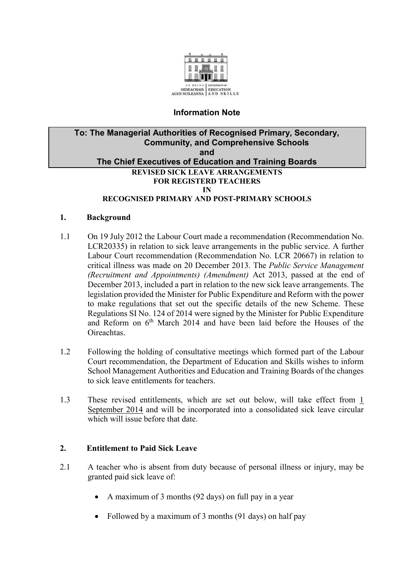

# **Information Note**

#### **To: The Managerial Authorities of Recognised Primary, Secondary, Community, and Comprehensive Schools and The Chief Executives of Education and Training Boards REVISED SICK LEAVE ARRANGEMENTS FOR REGISTERD TEACHERS IN RECOGNISED PRIMARY AND POST-PRIMARY SCHOOLS**

#### **1. Background**

- 1.1 On 19 July 2012 the Labour Court made a recommendation (Recommendation No. LCR20335) in relation to sick leave arrangements in the public service. A further Labour Court recommendation (Recommendation No. LCR 20667) in relation to critical illness was made on 20 December 2013. The *Public Service Management (Recruitment and Appointments) (Amendment)* Act 2013, passed at the end of December 2013, included a part in relation to the new sick leave arrangements. The legislation provided the Minister for Public Expenditure and Reform with the power to make regulations that set out the specific details of the new Scheme. These Regulations SI No. 124 of 2014 were signed by the Minister for Public Expenditure and Reform on 6th March 2014 and have been laid before the Houses of the Oireachtas.
- 1.2 Following the holding of consultative meetings which formed part of the Labour Court recommendation, the Department of Education and Skills wishes to inform School Management Authorities and Education and Training Boards of the changes to sick leave entitlements for teachers.
- 1.3 These revised entitlements, which are set out below, will take effect from 1 September 2014 and will be incorporated into a consolidated sick leave circular which will issue before that date.

### **2. Entitlement to Paid Sick Leave**

- 2.1 A teacher who is absent from duty because of personal illness or injury, may be granted paid sick leave of:
	- A maximum of 3 months (92 days) on full pay in a year
	- Followed by a maximum of 3 months (91 days) on half pay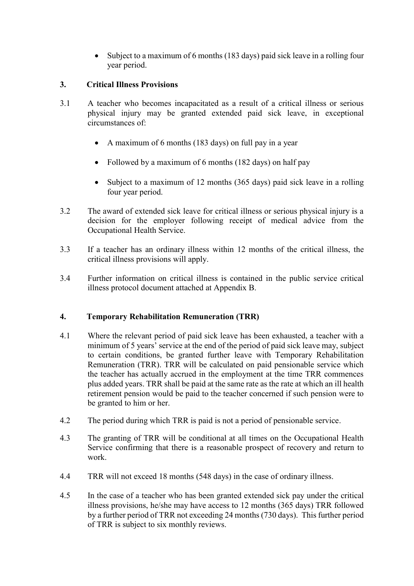• Subject to a maximum of 6 months (183 days) paid sick leave in a rolling four year period.

### **3. Critical Illness Provisions**

- 3.1 A teacher who becomes incapacitated as a result of a critical illness or serious physical injury may be granted extended paid sick leave, in exceptional circumstances of:
	- A maximum of 6 months (183 days) on full pay in a year
	- Followed by a maximum of 6 months (182 days) on half pay
	- Subject to a maximum of 12 months (365 days) paid sick leave in a rolling four year period.
- 3.2 The award of extended sick leave for critical illness or serious physical injury is a decision for the employer following receipt of medical advice from the Occupational Health Service.
- 3.3 If a teacher has an ordinary illness within 12 months of the critical illness, the critical illness provisions will apply.
- 3.4 Further information on critical illness is contained in the public service critical illness protocol document attached at Appendix B.

# **4. Temporary Rehabilitation Remuneration (TRR)**

- 4.1 Where the relevant period of paid sick leave has been exhausted, a teacher with a minimum of 5 years' service at the end of the period of paid sick leave may, subject to certain conditions, be granted further leave with Temporary Rehabilitation Remuneration (TRR). TRR will be calculated on paid pensionable service which the teacher has actually accrued in the employment at the time TRR commences plus added years. TRR shall be paid at the same rate as the rate at which an ill health retirement pension would be paid to the teacher concerned if such pension were to be granted to him or her.
- 4.2 The period during which TRR is paid is not a period of pensionable service.
- 4.3 The granting of TRR will be conditional at all times on the Occupational Health Service confirming that there is a reasonable prospect of recovery and return to work.
- 4.4 TRR will not exceed 18 months (548 days) in the case of ordinary illness.
- 4.5 In the case of a teacher who has been granted extended sick pay under the critical illness provisions, he/she may have access to 12 months (365 days) TRR followed by a further period of TRR not exceeding 24 months (730 days). This further period of TRR is subject to six monthly reviews.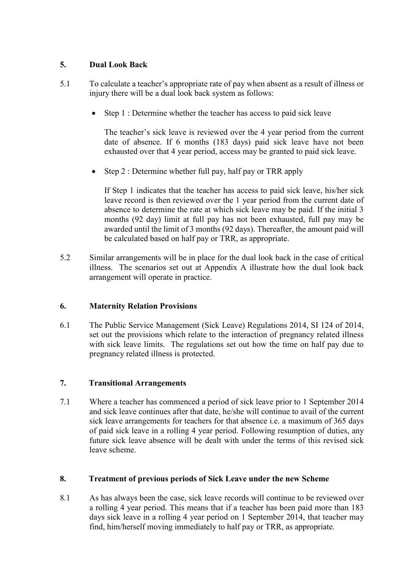# **5. Dual Look Back**

- 5.1 To calculate a teacher's appropriate rate of pay when absent as a result of illness or injury there will be a dual look back system as follows:
	- Step 1 : Determine whether the teacher has access to paid sick leave

The teacher's sick leave is reviewed over the 4 year period from the current date of absence. If 6 months (183 days) paid sick leave have not been exhausted over that 4 year period, access may be granted to paid sick leave.

Step 2 : Determine whether full pay, half pay or TRR apply

If Step 1 indicates that the teacher has access to paid sick leave, his/her sick leave record is then reviewed over the 1 year period from the current date of absence to determine the rate at which sick leave may be paid. If the initial 3 months (92 day) limit at full pay has not been exhausted, full pay may be awarded until the limit of 3 months (92 days). Thereafter, the amount paid will be calculated based on half pay or TRR, as appropriate.

5.2 Similar arrangements will be in place for the dual look back in the case of critical illness. The scenarios set out at Appendix A illustrate how the dual look back arrangement will operate in practice.

# **6. Maternity Relation Provisions**

6.1 The Public Service Management (Sick Leave) Regulations 2014, SI 124 of 2014, set out the provisions which relate to the interaction of pregnancy related illness with sick leave limits. The regulations set out how the time on half pay due to pregnancy related illness is protected.

### **7. Transitional Arrangements**

7.1 Where a teacher has commenced a period of sick leave prior to 1 September 2014 and sick leave continues after that date, he/she will continue to avail of the current sick leave arrangements for teachers for that absence i.e. a maximum of 365 days of paid sick leave in a rolling 4 year period. Following resumption of duties, any future sick leave absence will be dealt with under the terms of this revised sick leave scheme.

### **8. Treatment of previous periods of Sick Leave under the new Scheme**

8.1 As has always been the case, sick leave records will continue to be reviewed over a rolling 4 year period. This means that if a teacher has been paid more than 183 days sick leave in a rolling 4 year period on 1 September 2014, that teacher may find, him/herself moving immediately to half pay or TRR, as appropriate.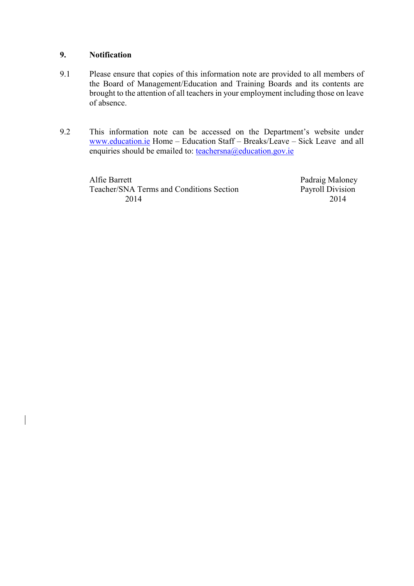### **9. Notification**

- 9.1 Please ensure that copies of this information note are provided to all members of the Board of Management/Education and Training Boards and its contents are brought to the attention of all teachers in your employment including those on leave of absence.
- 9.2 This information note can be accessed on the Department's website under [www.education.ie](http://www.education.ie/) Home – Education Staff – Breaks/Leave – Sick Leave and all enquiries should be emailed to: [teachersna@education.gov.ie](mailto:teachersna@education.gov.ie)

Alfie Barrett<br>
Teacher/SNA Terms and Conditions Section<br>
Payroll Division Teacher/SNA Terms and Conditions Section 2014 2014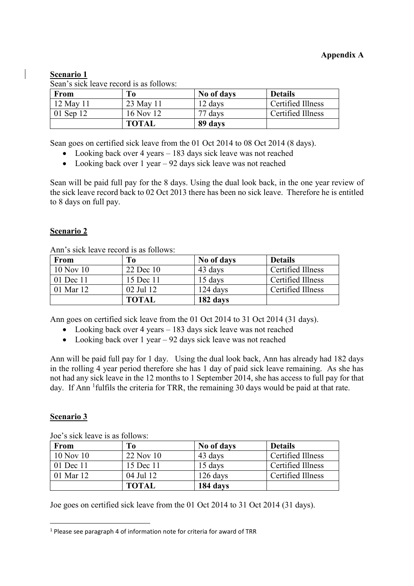# **Scenario 1**

Sean's sick leave record is as follows:

| From      | To           | No of days | <b>Details</b>    |
|-----------|--------------|------------|-------------------|
| 12 May 11 | 23 May 11    | 12 days    | Certified Illness |
| 01 Sep 12 | 16 Nov 12    | 77 days    | Certified Illness |
|           | <b>TOTAL</b> | 89 days    |                   |

Sean goes on certified sick leave from the 01 Oct 2014 to 08 Oct 2014 (8 days).

- Looking back over 4 years 183 days sick leave was not reached
- Looking back over 1 year 92 days sick leave was not reached

Sean will be paid full pay for the 8 days. Using the dual look back, in the one year review of the sick leave record back to 02 Oct 2013 there has been no sick leave. Therefore he is entitled to 8 days on full pay.

### **Scenario 2**

Ann's sick leave record is as follows:

| <b>From</b>   | To           | No of days | <b>Details</b>    |
|---------------|--------------|------------|-------------------|
| $10$ Nov $10$ | 22 Dec 10    | 43 days    | Certified Illness |
| 01 Dec 11     | 15 Dec 11    | 15 days    | Certified Illness |
| 01 Mar 12     | 02 Jul 12    | 124 days   | Certified Illness |
|               | <b>TOTAL</b> | 182 days   |                   |

Ann goes on certified sick leave from the 01 Oct 2014 to 31 Oct 2014 (31 days).

- Looking back over 4 years 183 days sick leave was not reached
- Looking back over 1 year 92 days sick leave was not reached

Ann will be paid full pay for 1 day. Using the dual look back, Ann has already had 182 days in the rolling 4 year period therefore she has 1 day of paid sick leave remaining. As she has not had any sick leave in the 12 months to 1 September 2014, she has access to full pay for that day. If Ann <sup>1</sup> fulfils the criteria for TRR, the remaining 30 days would be paid at that rate.

### **Scenario 3**

1

| From      | To           | No of days | <b>Details</b>    |
|-----------|--------------|------------|-------------------|
| 10 Nov 10 | 22 Nov 10    | 43 days    | Certified Illness |
| 01 Dec 11 | 15 Dec 11    | 15 days    | Certified Illness |
| 01 Mar 12 | 04 Jul 12    | $126$ days | Certified Illness |
|           | <b>TOTAL</b> | 184 days   |                   |

Joe's sick leave is as follows:

Joe goes on certified sick leave from the 01 Oct 2014 to 31 Oct 2014 (31 days).

<sup>&</sup>lt;sup>1</sup> Please see paragraph 4 of information note for criteria for award of TRR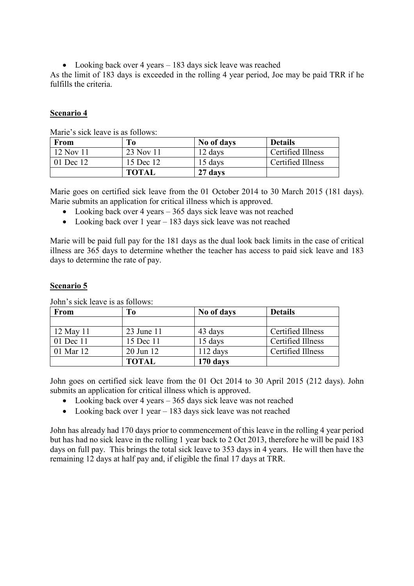• Looking back over 4 years – 183 days sick leave was reached

As the limit of 183 days is exceeded in the rolling 4 year period, Joe may be paid TRR if he fulfills the criteria.

### **Scenario 4**

| <b>From</b> | <b>To</b>    | No of days | <b>Details</b>    |
|-------------|--------------|------------|-------------------|
| 12 Nov 11   | 23 Nov 11    | 12 days    | Certified Illness |
| 01 Dec 12   | 15 Dec 12    | 15 days    | Certified Illness |
|             | <b>TOTAL</b> | 27 days    |                   |

Marie's sick leave is as follows:

Marie goes on certified sick leave from the 01 October 2014 to 30 March 2015 (181 days). Marie submits an application for critical illness which is approved.

- Looking back over 4 years 365 days sick leave was not reached
- Looking back over 1 year 183 days sick leave was not reached

Marie will be paid full pay for the 181 days as the dual look back limits in the case of critical illness are 365 days to determine whether the teacher has access to paid sick leave and 183 days to determine the rate of pay.

#### **Scenario 5**

| <b>From</b> | T <sub>0</sub> | No of days | <b>Details</b>    |
|-------------|----------------|------------|-------------------|
|             |                |            |                   |
| 12 May 11   | 23 June 11     | 43 days    | Certified Illness |
| 01 Dec 11   | 15 Dec 11      | 15 days    | Certified Illness |
| 01 Mar 12   | 20 Jun 12      | $112$ days | Certified Illness |
|             | <b>TOTAL</b>   | 170 days   |                   |

John's sick leave is as follows:

John goes on certified sick leave from the 01 Oct 2014 to 30 April 2015 (212 days). John submits an application for critical illness which is approved.

- Looking back over 4 years 365 days sick leave was not reached
- Looking back over 1 year 183 days sick leave was not reached

John has already had 170 days prior to commencement of this leave in the rolling 4 year period but has had no sick leave in the rolling 1 year back to 2 Oct 2013, therefore he will be paid 183 days on full pay. This brings the total sick leave to 353 days in 4 years. He will then have the remaining 12 days at half pay and, if eligible the final 17 days at TRR.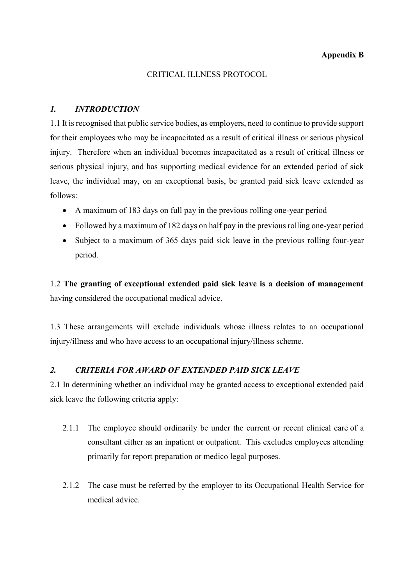### **Appendix B**

#### CRITICAL ILLNESS PROTOCOL

### *1. INTRODUCTION*

1.1 It is recognised that public service bodies, as employers, need to continue to provide support for their employees who may be incapacitated as a result of critical illness or serious physical injury. Therefore when an individual becomes incapacitated as a result of critical illness or serious physical injury, and has supporting medical evidence for an extended period of sick leave, the individual may, on an exceptional basis, be granted paid sick leave extended as follows:

- A maximum of 183 days on full pay in the previous rolling one-year period
- Followed by a maximum of 182 days on half pay in the previous rolling one-year period
- Subject to a maximum of 365 days paid sick leave in the previous rolling four-year period.

1.2 **The granting of exceptional extended paid sick leave is a decision of management**  having considered the occupational medical advice.

1.3 These arrangements will exclude individuals whose illness relates to an occupational injury/illness and who have access to an occupational injury/illness scheme.

### *2. CRITERIA FOR AWARD OF EXTENDED PAID SICK LEAVE*

2.1 In determining whether an individual may be granted access to exceptional extended paid sick leave the following criteria apply:

- 2.1.1 The employee should ordinarily be under the current or recent clinical care of a consultant either as an inpatient or outpatient. This excludes employees attending primarily for report preparation or medico legal purposes.
- 2.1.2 The case must be referred by the employer to its Occupational Health Service for medical advice.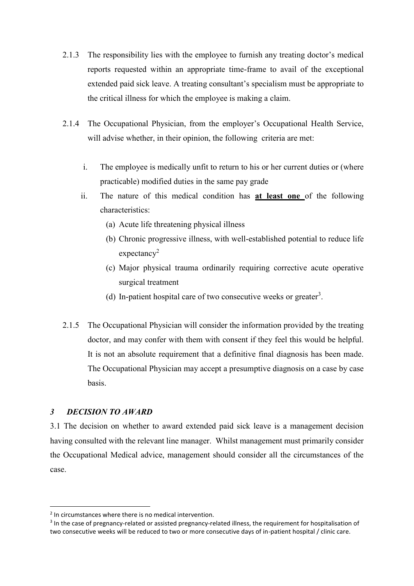- 2.1.3 The responsibility lies with the employee to furnish any treating doctor's medical reports requested within an appropriate time-frame to avail of the exceptional extended paid sick leave. A treating consultant's specialism must be appropriate to the critical illness for which the employee is making a claim.
- 2.1.4 The Occupational Physician, from the employer's Occupational Health Service, will advise whether, in their opinion, the following criteria are met:
	- i. The employee is medically unfit to return to his or her current duties or (where practicable) modified duties in the same pay grade
	- ii. The nature of this medical condition has **at least one** of the following characteristics:
		- (a) Acute life threatening physical illness
		- (b) Chronic progressive illness, with well-established potential to reduce life  $expectancy<sup>2</sup>$
		- (c) Major physical trauma ordinarily requiring corrective acute operative surgical treatment
		- (d) In-patient hospital care of two consecutive weeks or greater<sup>3</sup>.
- 2.1.5 The Occupational Physician will consider the information provided by the treating doctor, and may confer with them with consent if they feel this would be helpful. It is not an absolute requirement that a definitive final diagnosis has been made. The Occupational Physician may accept a presumptive diagnosis on a case by case basis.

### *3 DECISION TO AWARD*

1

3.1 The decision on whether to award extended paid sick leave is a management decision having consulted with the relevant line manager. Whilst management must primarily consider the Occupational Medical advice, management should consider all the circumstances of the case.

<sup>&</sup>lt;sup>2</sup> In circumstances where there is no medical intervention.

<sup>&</sup>lt;sup>3</sup> In the case of pregnancy-related or assisted pregnancy-related illness, the requirement for hospitalisation of two consecutive weeks will be reduced to two or more consecutive days of in-patient hospital / clinic care.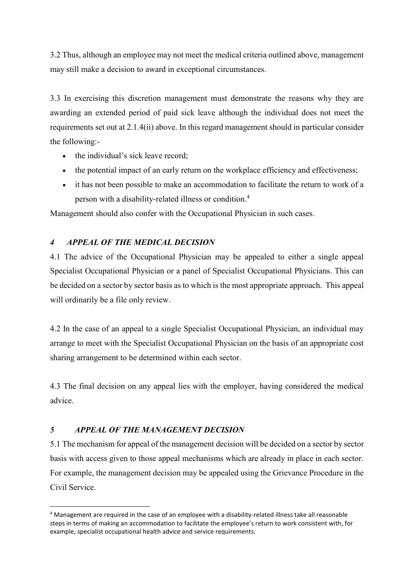3.2 Thus, although an employee may not meet the medical criteria outlined above, management may still make a decision to award in exceptional circumstances.

3.3 In exercising this discretion management must demonstrate the reasons why they are awarding an extended period of paid sick leave although the individual does not meet the requirements set out at 2.1.4(ii) above. In this regard management should in particular consider the following:-

- the individual's sick leave record;
- the potential impact of an early return on the workplace efficiency and effectiveness;
- it has not been possible to make an accommodation to facilitate the return to work of a person with a disability-related illness or condition.<sup>4</sup>

Management should also confer with the Occupational Physician in such cases.

# *4 APPEAL OF THE MEDICAL DECISION*

4.1 The advice of the Occupational Physician may be appealed to either a single appeal Specialist Occupational Physician or a panel of Specialist Occupational Physicians. This can be decided on a sector by sector basis as to which is the most appropriate approach. This appeal will ordinarily be a file only review.

4.2 In the case of an appeal to a single Specialist Occupational Physician, an individual may arrange to meet with the Specialist Occupational Physician on the basis of an appropriate cost sharing arrangement to be determined within each sector.

4.3 The final decision on any appeal lies with the employer, having considered the medical advice.

# *5 APPEAL OF THE MANAGEMENT DECISION*

1

5.1 The mechanism for appeal of the management decision will be decided on a sector by sector basis with access given to those appeal mechanisms which are already in place in each sector. For example, the management decision may be appealed using the Grievance Procedure in the Civil Service.

<sup>4</sup> Management are required in the case of an employee with a disability-related illness take all reasonable steps in terms of making an accommodation to facilitate the employee's return to work consistent with, for example, specialist occupational health advice and service requirements.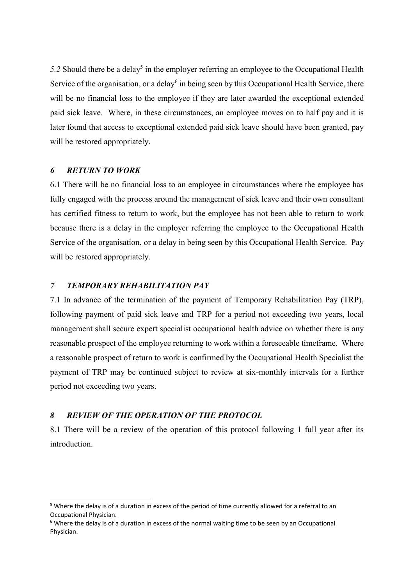$5.2$  Should there be a delay<sup>5</sup> in the employer referring an employee to the Occupational Health Service of the organisation, or a delay<sup>6</sup> in being seen by this Occupational Health Service, there will be no financial loss to the employee if they are later awarded the exceptional extended paid sick leave. Where, in these circumstances, an employee moves on to half pay and it is later found that access to exceptional extended paid sick leave should have been granted, pay will be restored appropriately.

#### *6 RETURN TO WORK*

<u>.</u>

6.1 There will be no financial loss to an employee in circumstances where the employee has fully engaged with the process around the management of sick leave and their own consultant has certified fitness to return to work, but the employee has not been able to return to work because there is a delay in the employer referring the employee to the Occupational Health Service of the organisation, or a delay in being seen by this Occupational Health Service. Pay will be restored appropriately.

### *7 TEMPORARY REHABILITATION PAY*

7.1 In advance of the termination of the payment of Temporary Rehabilitation Pay (TRP), following payment of paid sick leave and TRP for a period not exceeding two years, local management shall secure expert specialist occupational health advice on whether there is any reasonable prospect of the employee returning to work within a foreseeable timeframe. Where a reasonable prospect of return to work is confirmed by the Occupational Health Specialist the payment of TRP may be continued subject to review at six-monthly intervals for a further period not exceeding two years.

### *8 REVIEW OF THE OPERATION OF THE PROTOCOL*

8.1 There will be a review of the operation of this protocol following 1 full year after its **introduction** 

<sup>&</sup>lt;sup>5</sup> Where the delay is of a duration in excess of the period of time currently allowed for a referral to an Occupational Physician.

 $6$  Where the delay is of a duration in excess of the normal waiting time to be seen by an Occupational Physician.